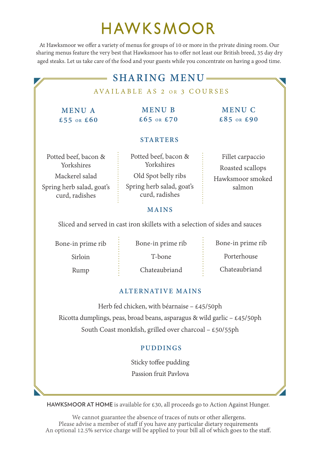# HAWKSMOOR

At Hawksmoor we offer a variety of menus for groups of 10 or more in the private dining room. Our sharing menus feature the very best that Hawksmoor has to offer not least our British breed, 35 day dry aged steaks. Let us take care of the food and your guests while you concentrate on having a good time.

#### **MAINS STARTERS**  $\equiv$  **SHARING MENU** Potted beef, bacon & Yorkshires Mackerel salad Spring herb salad, goat's curd, radishes Potted beef, bacon & Yorkshires Old Spot belly ribs Spring herb salad, goat's curd, radishes Fillet carpaccio Roasted scallops Hawksmoor smoked salmon **MENU A £55 OR £60 MENU B £65 OR £70** AVAILABLE AS 2 OR 3 COURSES **MENU C £85 OR £90**

Sliced and served in cast iron skillets with a selection of sides and sauces

Bone-in prime rib

Bone-in prime rib

Sirloin

Rump

T-bone

Bone-in prime rib

Porterhouse

Chateaubriand

Chateaubriand

### **ALTERNATIVE MAINS**

Herb fed chicken, with béarnaise – £45/50ph Ricotta dumplings, peas, broad beans, asparagus & wild garlic –  $\text{\pounds}45/50\text{ph}$ South Coast monkfish, grilled over charcoal –  $\text{\pounds}50/55ph$ 

### **PUDDINGS**

Sticky toffee pudding Passion fruit Pavlova

**HAWKSMOOR AT HOME** is available for £30, all proceeds go to Action Against Hunger.

 We cannot guarantee the absence of traces of nuts or other allergens. Please advise a member of staff if you have any particular dietary requirements An optional 12.5% service charge will be applied to your bill all of which goes to the staff.